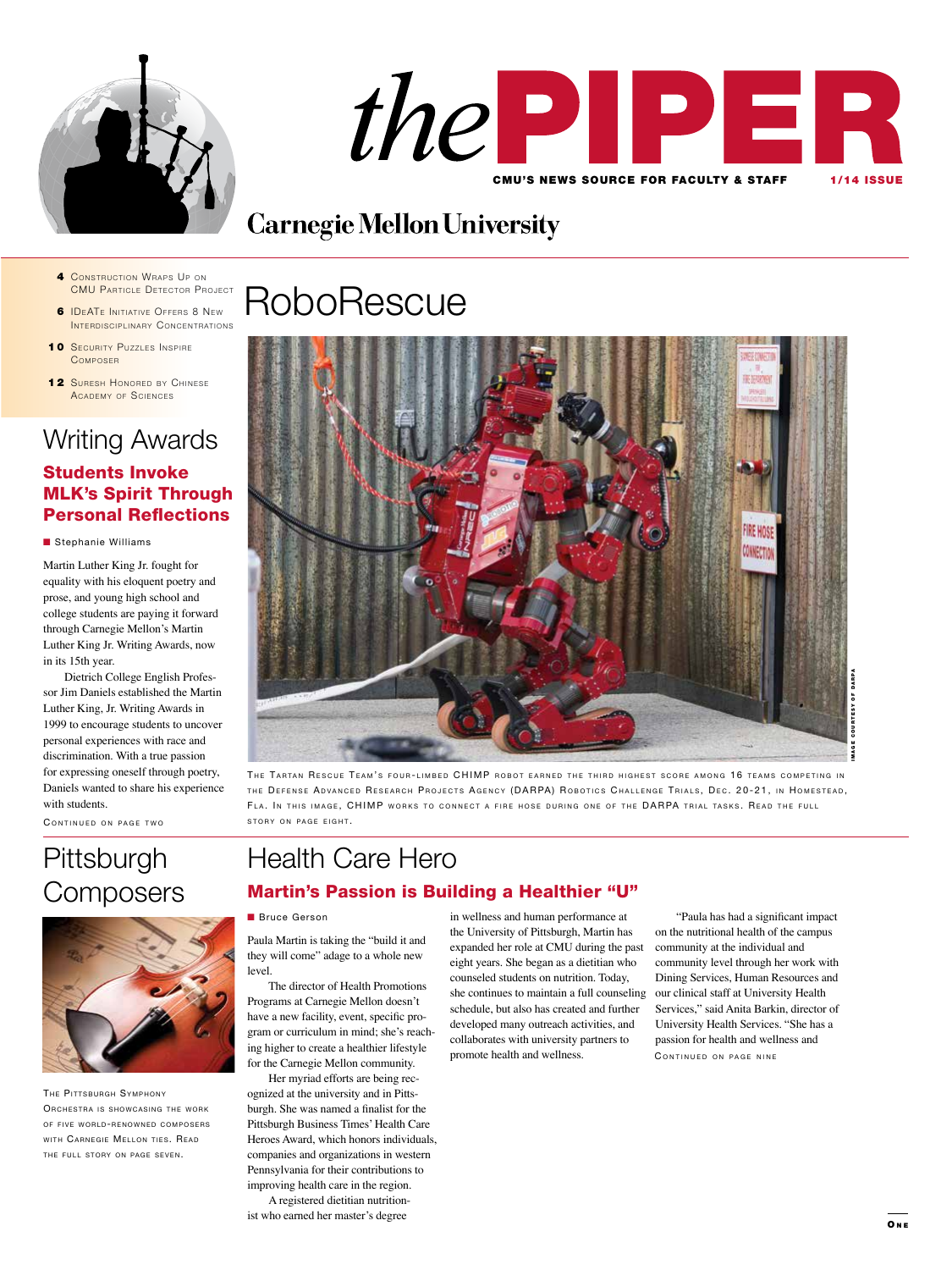



# **Carnegie Mellon University**

- 4 CONSTRUCTION WRAPS UP ON **CMU PARTICLE DETECTOR PROJECT**
- **6 IDEATE INITIATIVE OFFERS 8 NEW** INTERDISCIPLINARY CONCENTRATIONS
- 10 SECURITY PUZZLES INSPIRE **COMPOSER**
- 12 SURESH HONORED BY CHINESE A CADEMY OF SCIENCES

### Writing Awards Students Invoke MLK's Spirit Through Personal Reflections

**n** Stephanie Williams

Martin Luther King Jr. fought for equality with his eloquent poetry and prose, and young high school and college students are paying it forward through Carnegie Mellon's Martin Luther King Jr. Writing Awards, now in its 15th year.

Dietrich College English Professor Jim Daniels established the Martin Luther King, Jr. Writing Awards in 1999 to encourage students to uncover personal experiences with race and discrimination. With a true passion for expressing oneself through poetry, Daniels wanted to share his experience with students.

CONTINUED ON PAGE TWO

# **Pittsburgh Composers**



THE PITTSBURGH SYMPHONY ORCHESTRA IS SHOWCASING THE WORK OF FIVE WORLD-RENOWNED COMPOSERS WITH CARNEGIE MELLON TIES. READ THE FULL STORY ON PAGE SEVEN.

# **RoboRescue**



THE TARTAN RESCUE TEAM'S FOUR-LIMBED CHIMP ROBOT EARNED THE THIRD HIGHEST SCORE AMONG 16 TEAMS COMPETING IN THE DEFENSE ADVANCED RESEARCH PROJECTS AGENCY (DARPA) ROBOTICS CHALLENGE TRIALS, DEC. 20-21, IN HOMESTEAD, FLA. IN THIS IMAGE, CHIMP WORKS TO CONNECT A FIRE HOSE DURING ONE OF THE DARPA TRIAL TASKS. READ THE FULL STORY ON PAGE EIGHT.

## Health Care Hero Martin's Passion is Building a Healthier "U"

**Bruce Gerson** 

Paula Martin is taking the "build it and they will come" adage to a whole new level.

The director of Health Promotions Programs at Carnegie Mellon doesn't have a new facility, event, specific program or curriculum in mind; she's reaching higher to create a healthier lifestyle for the Carnegie Mellon community.

Her myriad efforts are being recognized at the university and in Pittsburgh. She was named a finalist for the Pittsburgh Business Times' Health Care Heroes Award, which honors individuals, companies and organizations in western Pennsylvania for their contributions to improving health care in the region.

A registered dietitian nutritionist who earned her master's degree

in wellness and human performance at the University of Pittsburgh, Martin has expanded her role at CMU during the past eight years. She began as a dietitian who counseled students on nutrition. Today, she continues to maintain a full counseling schedule, but also has created and further developed many outreach activities, and collaborates with university partners to promote health and wellness.

"Paula has had a significant impact on the nutritional health of the campus community at the individual and community level through her work with Dining Services, Human Resources and our clinical staff at University Health Services," said Anita Barkin, director of University Health Services. "She has a passion for health and wellness and CONTINUED ON PAGE NINE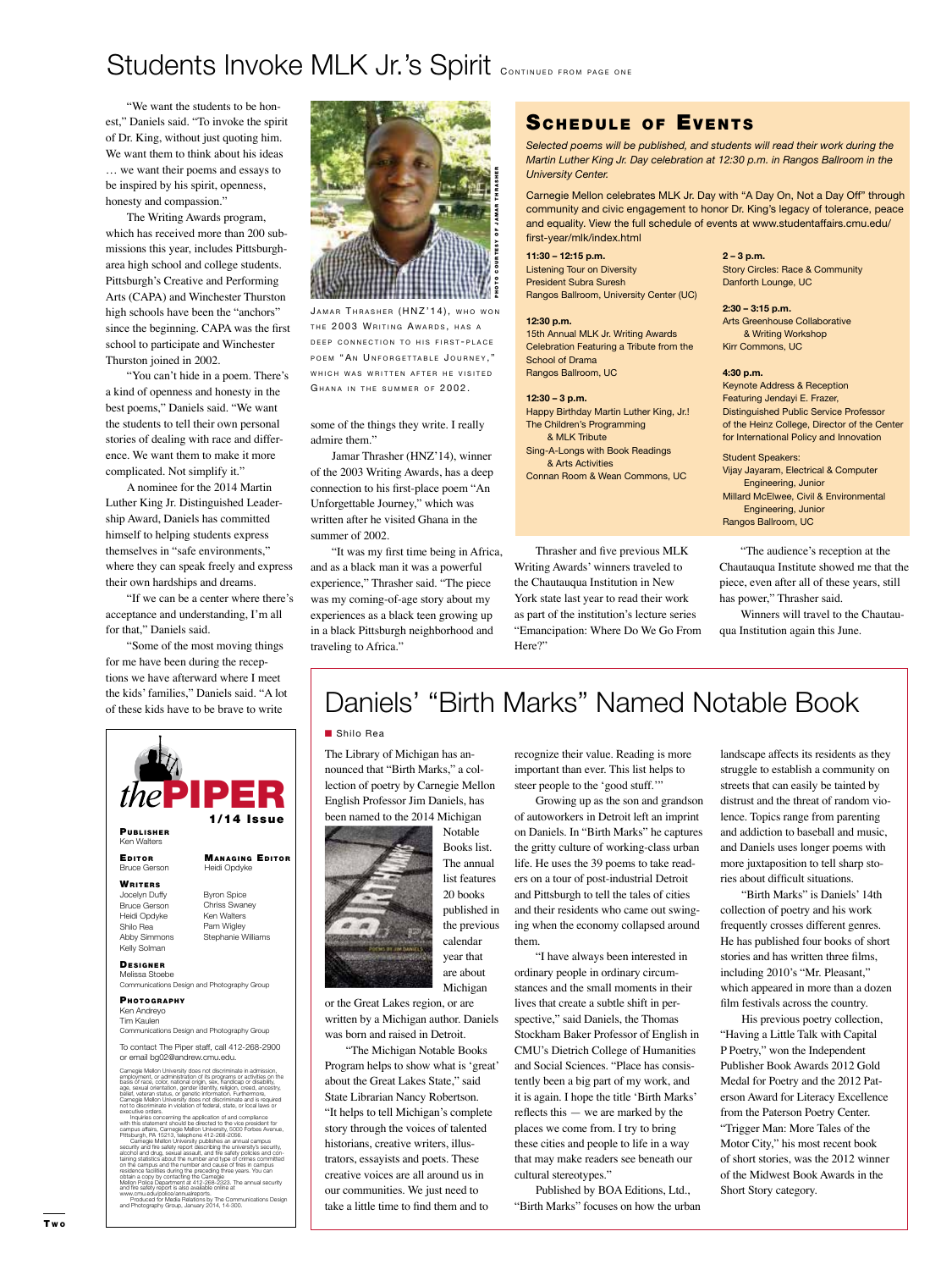# Students Invoke MLK Jr.'s Spirit CONTINUED FROM PAGE ONE

"We want the students to be honest," Daniels said. "To invoke the spirit of Dr. King, without just quoting him. We want them to think about his ideas … we want their poems and essays to be inspired by his spirit, openness, honesty and compassion."

The Writing Awards program, which has received more than 200 submissions this year, includes Pittsburgharea high school and college students. Pittsburgh's Creative and Performing Arts (CAPA) and Winchester Thurston high schools have been the "anchors" since the beginning. CAPA was the first school to participate and Winchester Thurston joined in 2002.

"You can't hide in a poem. There's a kind of openness and honesty in the best poems," Daniels said. "We want the students to tell their own personal stories of dealing with race and difference. We want them to make it more complicated. Not simplify it."

A nominee for the 2014 Martin Luther King Jr. Distinguished Leadership Award, Daniels has committed himself to helping students express themselves in "safe environments," where they can speak freely and express their own hardships and dreams.

"If we can be a center where there's acceptance and understanding, I'm all for that," Daniels said.

"Some of the most moving things for me have been during the receptions we have afterward where I meet the kids' families," Daniels said. "A lot of these kids have to be brave to write





JAMAR THRASHER (HNZ'14), WHO WON THE 2003 WRITING AWARDS, HAS A DEEP CONNECTION TO HIS FIRST-PLACE POEM "AN UNFORGETTABLE JOURNEY." WHICH WAS WRITTEN AFTER HE VISITED GHANA IN THE SUMMER OF 2002.

some of the things they write. I really admire them."

Jamar Thrasher (HNZ'14), winner of the 2003 Writing Awards, has a deep connection to his first-place poem "An Unforgettable Journey," which was written after he visited Ghana in the summer of 2002.

"It was my first time being in Africa, and as a black man it was a powerful experience," Thrasher said. "The piece was my coming-of-age story about my experiences as a black teen growing up in a black Pittsburgh neighborhood and traveling to Africa."

### SCHEDULE OF EVENTS

*Selected poems will be published, and students will read their work during the Martin Luther King Jr. Day celebration at 12:30 p.m. in Rangos Ballroom in the University Center.*

Carnegie Mellon celebrates MLK Jr. Day with "A Day On, Not a Day Off" through community and civic engagement to honor Dr. King's legacy of tolerance, peace and equality. View the full schedule of events at www.studentaffairs.cmu.edu/ first-year/mlk/index.html

**11:30 – 12:15 p.m.** Listening Tour on Diversity President Subra Suresh Rangos Ballroom, University Center (UC)

#### **12:30 p.m.**

15th Annual MLK Jr. Writing Awards Celebration Featuring a Tribute from the School of Drama Rangos Ballroom, UC

**12:30 – 3 p.m.** Happy Birthday Martin Luther King, Jr.! The Children's Programming

& MLK Tribute Sing-A-Longs with Book Readings & Arts Activities

Connan Room & Wean Commons, UC

Thrasher and five previous MLK Writing Awards' winners traveled to the Chautauqua Institution in New York state last year to read their work as part of the institution's lecture series "Emancipation: Where Do We Go From Here?"

**2 – 3 p.m.** Story Circles: Race & Community Danforth Lounge, UC

**2:30 – 3:15 p.m.** Arts Greenhouse Collaborative & Writing Workshop Kirr Commons, UC

#### **4:30 p.m.**

Keynote Address & Reception Featuring Jendayi E. Frazer, Distinguished Public Service Professor of the Heinz College, Director of the Center for International Policy and Innovation

Student Speakers: Vijay Jayaram, Electrical & Computer Engineering, Junior Millard McElwee, Civil & Environmental Engineering, Junior Rangos Ballroom, UC

"The audience's reception at the Chautauqua Institute showed me that the piece, even after all of these years, still has power," Thrasher said.

Winners will travel to the Chautauqua Institution again this June.

# Daniels' "Birth Marks" Named Notable Book

### ■ Shilo Rea

The Library of Michigan has announced that "Birth Marks," a collection of poetry by Carnegie Mellon English Professor Jim Daniels, has been named to the 2014 Michigan



Notable Books list. The annual list features 20 books published in the previous calendar year that are about

Michigan or the Great Lakes region, or are written by a Michigan author. Daniels

was born and raised in Detroit. "The Michigan Notable Books Program helps to show what is 'great' about the Great Lakes State," said State Librarian Nancy Robertson. "It helps to tell Michigan's complete story through the voices of talented historians, creative writers, illustrators, essayists and poets. These creative voices are all around us in our communities. We just need to take a little time to find them and to

recognize their value. Reading is more important than ever. This list helps to steer people to the 'good stuff.'"

Growing up as the son and grandson of autoworkers in Detroit left an imprint on Daniels. In "Birth Marks" he captures the gritty culture of working-class urban life. He uses the 39 poems to take readers on a tour of post-industrial Detroit and Pittsburgh to tell the tales of cities and their residents who came out swinging when the economy collapsed around them.

"I have always been interested in ordinary people in ordinary circumstances and the small moments in their lives that create a subtle shift in perspective," said Daniels, the Thomas Stockham Baker Professor of English in CMU's Dietrich College of Humanities and Social Sciences. "Place has consistently been a big part of my work, and it is again. I hope the title 'Birth Marks' reflects this — we are marked by the places we come from. I try to bring these cities and people to life in a way that may make readers see beneath our cultural stereotypes."

Published by BOA Editions, Ltd., "Birth Marks" focuses on how the urban landscape affects its residents as they struggle to establish a community on streets that can easily be tainted by distrust and the threat of random violence. Topics range from parenting and addiction to baseball and music, and Daniels uses longer poems with more juxtaposition to tell sharp stories about difficult situations.

"Birth Marks" is Daniels' 14th collection of poetry and his work frequently crosses different genres. He has published four books of short stories and has written three films, including 2010's "Mr. Pleasant," which appeared in more than a dozen film festivals across the country.

His previous poetry collection, "Having a Little Talk with Capital P Poetry," won the Independent Publisher Book Awards 2012 Gold Medal for Poetry and the 2012 Paterson Award for Literacy Excellence from the Paterson Poetry Center. "Trigger Man: More Tales of the Motor City," his most recent book of short stories, was the 2012 winner of the Midwest Book Awards in the Short Story category.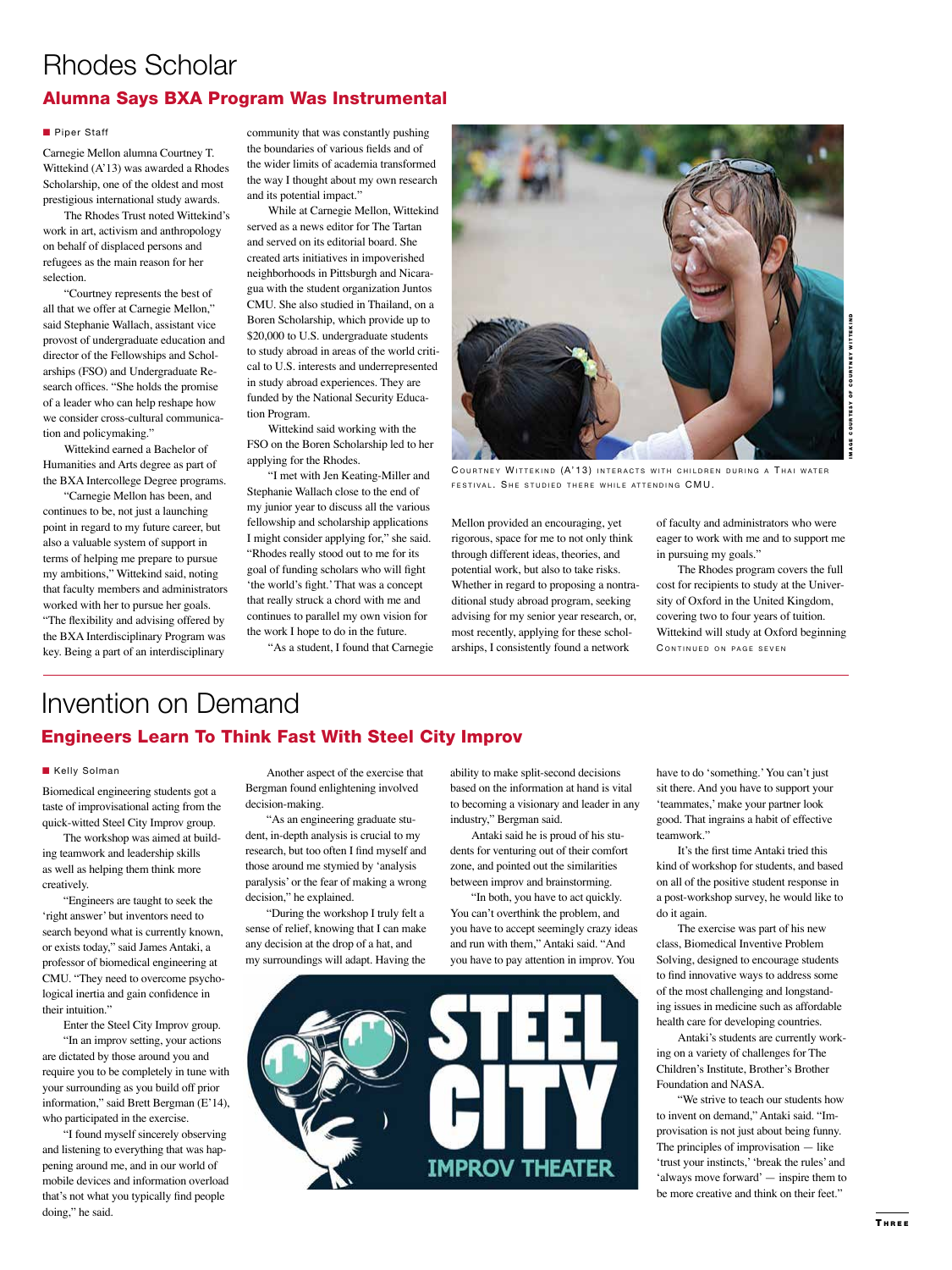## Rhodes Scholar Alumna Says BXA Program Was Instrumental

### **n** Piper Staff

Carnegie Mellon alumna Courtney T. Wittekind (A'13) was awarded a Rhodes Scholarship, one of the oldest and most prestigious international study awards.

The Rhodes Trust noted Wittekind's work in art, activism and anthropology on behalf of displaced persons and refugees as the main reason for her selection.

"Courtney represents the best of all that we offer at Carnegie Mellon," said Stephanie Wallach, assistant vice provost of undergraduate education and director of the Fellowships and Scholarships (FSO) and Undergraduate Research offices. "She holds the promise of a leader who can help reshape how we consider cross-cultural communication and policymaking."

Wittekind earned a Bachelor of Humanities and Arts degree as part of the BXA Intercollege Degree programs.

"Carnegie Mellon has been, and continues to be, not just a launching point in regard to my future career, but also a valuable system of support in terms of helping me prepare to pursue my ambitions," Wittekind said, noting that faculty members and administrators worked with her to pursue her goals. "The flexibility and advising offered by the BXA Interdisciplinary Program was key. Being a part of an interdisciplinary

community that was constantly pushing the boundaries of various fields and of the wider limits of academia transformed the way I thought about my own research and its potential impact."

While at Carnegie Mellon, Wittekind served as a news editor for The Tartan and served on its editorial board. She created arts initiatives in impoverished neighborhoods in Pittsburgh and Nicaragua with the student organization Juntos CMU. She also studied in Thailand, on a Boren Scholarship, which provide up to \$20,000 to U.S. undergraduate students to study abroad in areas of the world critical to U.S. interests and underrepresented in study abroad experiences. They are funded by the National Security Education Program.

Wittekind said working with the FSO on the Boren Scholarship led to her applying for the Rhodes.

"I met with Jen Keating-Miller and Stephanie Wallach close to the end of my junior year to discuss all the various fellowship and scholarship applications I might consider applying for," she said. "Rhodes really stood out to me for its goal of funding scholars who will fight 'the world's fight.' That was a concept that really struck a chord with me and continues to parallel my own vision for the work I hope to do in the future.

"As a student, I found that Carnegie



COURTNEY WITTEKIND (A'13) INTERACTS WITH CHILDREN DURING A THAI WATER FESTIVAL SHE STUDIED THERE WHILE ATTENDING CMU

Mellon provided an encouraging, yet rigorous, space for me to not only think through different ideas, theories, and potential work, but also to take risks. Whether in regard to proposing a nontraditional study abroad program, seeking advising for my senior year research, or, most recently, applying for these scholarships, I consistently found a network

of faculty and administrators who were eager to work with me and to support me in pursuing my goals."

The Rhodes program covers the full cost for recipients to study at the University of Oxford in the United Kingdom, covering two to four years of tuition. Wittekind will study at Oxford beginning CONTINUED ON PAGE SEVEN

## Invention on Demand Engineers Learn To Think Fast With Steel City Improv

#### **Kelly Solman**

Biomedical engineering students got a taste of improvisational acting from the quick-witted Steel City Improv group.

The workshop was aimed at building teamwork and leadership skills as well as helping them think more creatively.

"Engineers are taught to seek the 'right answer' but inventors need to search beyond what is currently known, or exists today," said James Antaki, a professor of biomedical engineering at CMU. "They need to overcome psychological inertia and gain confidence in their intuition."

Enter the Steel City Improv group. "In an improv setting, your actions dictated by those around you and require you to be completely in tune with your surrounding as you build off prior information," said Brett Bergman (E'14), who participated in the exercise.

"I found myself sincerely observing and listening to everything that was happening around me, and in our world of mobile devices and information overload that's not what you typically find people doing," he said.

Another aspect of the exercise that Bergman found enlightening involved decision-making.

"As an engineering graduate student, in-depth analysis is crucial to my research, but too often I find myself and those around me stymied by 'analysis paralysis' or the fear of making a wrong decision," he explained.

"During the workshop I truly felt a sense of relief, knowing that I can make any decision at the drop of a hat, and my surroundings will adapt. Having the

ability to make split-second decisions based on the information at hand is vital to becoming a visionary and leader in any industry," Bergman said.

Antaki said he is proud of his students for venturing out of their comfort zone, and pointed out the similarities between improv and brainstorming.

"In both, you have to act quickly. You can't overthink the problem, and you have to accept seemingly crazy ideas and run with them," Antaki said. "And you have to pay attention in improv. You



have to do 'something.' You can't just sit there. And you have to support your 'teammates,' make your partner look good. That ingrains a habit of effective teamwork."

It's the first time Antaki tried this kind of workshop for students, and based on all of the positive student response in a post-workshop survey, he would like to do it again.

The exercise was part of his new class, Biomedical Inventive Problem Solving, designed to encourage students to find innovative ways to address some of the most challenging and longstanding issues in medicine such as affordable health care for developing countries.

Antaki's students are currently working on a variety of challenges for The Children's Institute, Brother's Brother Foundation and NASA.

"We strive to teach our students how to invent on demand," Antaki said. "Improvisation is not just about being funny. The principles of improvisation — like 'trust your instincts,' 'break the rules' and 'always move forward' — inspire them to be more creative and think on their feet."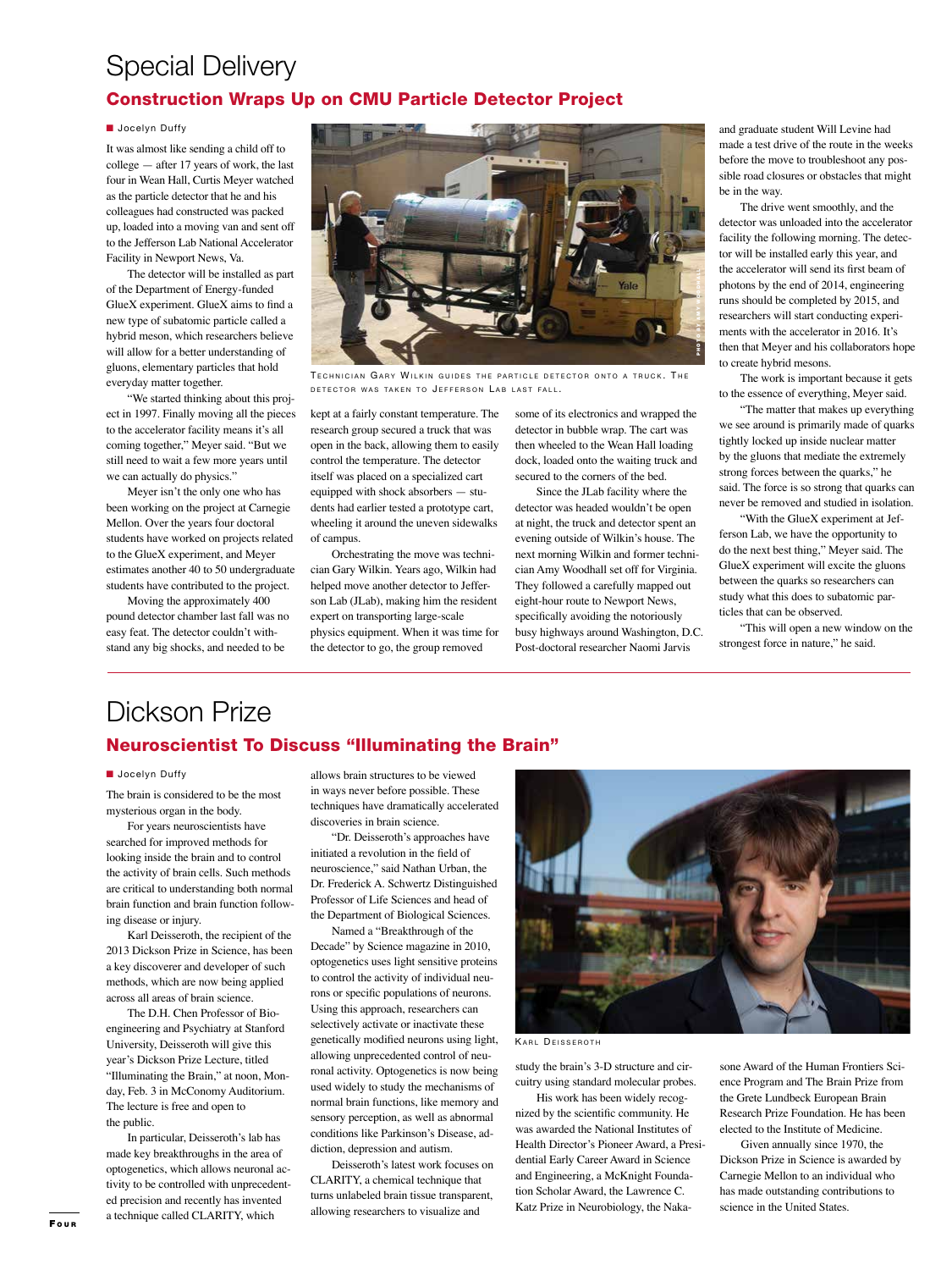## Special Delivery Construction Wraps Up on CMU Particle Detector Project

### **N** Jocelyn Duffy

It was almost like sending a child off to college — after 17 years of work, the last four in Wean Hall, Curtis Meyer watched as the particle detector that he and his colleagues had constructed was packed up, loaded into a moving van and sent off to the Jefferson Lab National Accelerator Facility in Newport News, Va.

The detector will be installed as part of the Department of Energy-funded GlueX experiment. GlueX aims to find a new type of subatomic particle called a hybrid meson, which researchers believe will allow for a better understanding of gluons, elementary particles that hold everyday matter together.

"We started thinking about this project in 1997. Finally moving all the pieces to the accelerator facility means it's all coming together," Meyer said. "But we still need to wait a few more years until we can actually do physics."

Meyer isn't the only one who has been working on the project at Carnegie Mellon. Over the years four doctoral students have worked on projects related to the GlueX experiment, and Meyer estimates another 40 to 50 undergraduate students have contributed to the project.

Moving the approximately 400 pound detector chamber last fall was no easy feat. The detector couldn't withstand any big shocks, and needed to be



TECHNICIAN GARY WILKIN GUIDES THE PARTICLE DETECTOR ONTO A TRUCK. THE DETECTOR WAS TAKEN TO JEFFERSON LAB LAST FALL.

kept at a fairly constant temperature. The research group secured a truck that was open in the back, allowing them to easily control the temperature. The detector itself was placed on a specialized cart equipped with shock absorbers — students had earlier tested a prototype cart, wheeling it around the uneven sidewalks of campus.

Orchestrating the move was technician Gary Wilkin. Years ago, Wilkin had helped move another detector to Jefferson Lab (JLab), making him the resident expert on transporting large-scale physics equipment. When it was time for the detector to go, the group removed

some of its electronics and wrapped the detector in bubble wrap. The cart was then wheeled to the Wean Hall loading dock, loaded onto the waiting truck and secured to the corners of the bed.

Since the JLab facility where the detector was headed wouldn't be open at night, the truck and detector spent an evening outside of Wilkin's house. The next morning Wilkin and former technician Amy Woodhall set off for Virginia. They followed a carefully mapped out eight-hour route to Newport News, specifically avoiding the notoriously busy highways around Washington, D.C. Post-doctoral researcher Naomi Jarvis

and graduate student Will Levine had made a test drive of the route in the weeks before the move to troubleshoot any possible road closures or obstacles that might be in the way.

The drive went smoothly, and the detector was unloaded into the accelerator facility the following morning. The detector will be installed early this year, and the accelerator will send its first beam of photons by the end of 2014, engineering runs should be completed by 2015, and researchers will start conducting experiments with the accelerator in 2016. It's then that Meyer and his collaborators hope to create hybrid mesons.

The work is important because it gets to the essence of everything, Meyer said.

"The matter that makes up everything we see around is primarily made of quarks tightly locked up inside nuclear matter by the gluons that mediate the extremely strong forces between the quarks," he said. The force is so strong that quarks can never be removed and studied in isolation.

"With the GlueX experiment at Jefferson Lab, we have the opportunity to do the next best thing," Meyer said. The GlueX experiment will excite the gluons between the quarks so researchers can study what this does to subatomic particles that can be observed.

"This will open a new window on the strongest force in nature," he said.

# Dickson Prize

### Neuroscientist To Discuss "Illuminating the Brain"

### **N** Jocelyn Duffy

The brain is considered to be the most mysterious organ in the body.

For years neuroscientists have searched for improved methods for looking inside the brain and to control the activity of brain cells. Such methods are critical to understanding both normal brain function and brain function following disease or injury.

Karl Deisseroth, the recipient of the 2013 Dickson Prize in Science, has been a key discoverer and developer of such methods, which are now being applied across all areas of brain science.

The D.H. Chen Professor of Bioengineering and Psychiatry at Stanford University, Deisseroth will give this year's Dickson Prize Lecture, titled "Illuminating the Brain," at noon, Monday, Feb. 3 in McConomy Auditorium. The lecture is free and open to the public.

In particular, Deisseroth's lab has made key breakthroughs in the area of optogenetics, which allows neuronal activity to be controlled with unprecedented precision and recently has invented a technique called CLARITY, which

allows brain structures to be viewed in ways never before possible. These techniques have dramatically accelerated discoveries in brain science.

"Dr. Deisseroth's approaches have initiated a revolution in the field of neuroscience," said Nathan Urban, the Dr. Frederick A. Schwertz Distinguished Professor of Life Sciences and head of the Department of Biological Sciences.

Named a "Breakthrough of the Decade" by Science magazine in 2010, optogenetics uses light sensitive proteins to control the activity of individual neurons or specific populations of neurons. Using this approach, researchers can selectively activate or inactivate these genetically modified neurons using light, allowing unprecedented control of neuronal activity. Optogenetics is now being used widely to study the mechanisms of normal brain functions, like memory and sensory perception, as well as abnormal conditions like Parkinson's Disease, addiction, depression and autism.

Deisseroth's latest work focuses on CLARITY, a chemical technique that turns unlabeled brain tissue transparent, allowing researchers to visualize and



KARL DEISSEROTH

study the brain's 3-D structure and circuitry using standard molecular probes.

His work has been widely recognized by the scientific community. He was awarded the National Institutes of Health Director's Pioneer Award, a Presidential Early Career Award in Science and Engineering, a McKnight Foundation Scholar Award, the Lawrence C. Katz Prize in Neurobiology, the Naka-

sone Award of the Human Frontiers Science Program and The Brain Prize from the Grete Lundbeck European Brain Research Prize Foundation. He has been elected to the Institute of Medicine.

Given annually since 1970, the Dickson Prize in Science is awarded by Carnegie Mellon to an individual who has made outstanding contributions to science in the United States.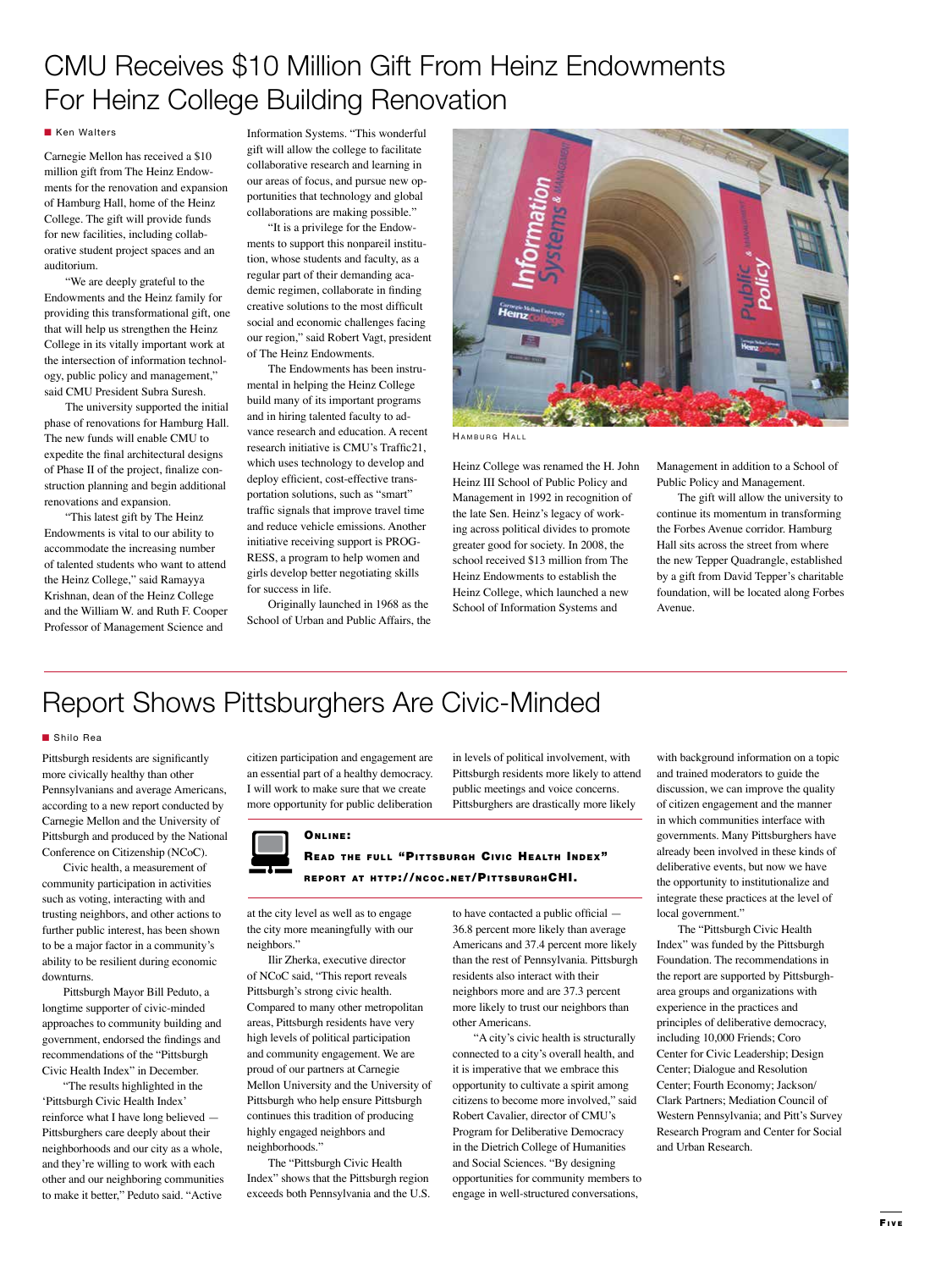# CMU Receives \$10 Million Gift From Heinz Endowments For Heinz College Building Renovation

#### **Ken Walters**

Carnegie Mellon has received a \$10 million gift from The Heinz Endowments for the renovation and expansion of Hamburg Hall, home of the Heinz College. The gift will provide funds for new facilities, including collaborative student project spaces and an auditorium.

"We are deeply grateful to the Endowments and the Heinz family for providing this transformational gift, one that will help us strengthen the Heinz College in its vitally important work at the intersection of information technology, public policy and management," said CMU President Subra Suresh.

The university supported the initial phase of renovations for Hamburg Hall. The new funds will enable CMU to expedite the final architectural designs of Phase II of the project, finalize construction planning and begin additional renovations and expansion.

"This latest gift by The Heinz Endowments is vital to our ability to accommodate the increasing number of talented students who want to attend the Heinz College," said Ramayya Krishnan, dean of the Heinz College and the William W. and Ruth F. Cooper Professor of Management Science and

Information Systems. "This wonderful gift will allow the college to facilitate collaborative research and learning in our areas of focus, and pursue new opportunities that technology and global collaborations are making possible."

"It is a privilege for the Endowments to support this nonpareil institution, whose students and faculty, as a regular part of their demanding academic regimen, collaborate in finding creative solutions to the most difficult social and economic challenges facing our region," said Robert Vagt, president of The Heinz Endowments.

The Endowments has been instrumental in helping the Heinz College build many of its important programs and in hiring talented faculty to advance research and education. A recent research initiative is CMU's Traffic21, which uses technology to develop and deploy efficient, cost-effective transportation solutions, such as "smart" traffic signals that improve travel time and reduce vehicle emissions. Another initiative receiving support is PROG-RESS, a program to help women and girls develop better negotiating skills for success in life.

Originally launched in 1968 as the School of Urban and Public Affairs, the



HAMBURG HALL

Heinz College was renamed the H. John Heinz III School of Public Policy and Management in 1992 in recognition of the late Sen. Heinz's legacy of working across political divides to promote greater good for society. In 2008, the school received \$13 million from The Heinz Endowments to establish the Heinz College, which launched a new School of Information Systems and

Management in addition to a School of Public Policy and Management.

The gift will allow the university to continue its momentum in transforming the Forbes Avenue corridor. Hamburg Hall sits across the street from where the new Tepper Quadrangle, established by a gift from David Tepper's charitable foundation, will be located along Forbes Avenue.

# Report Shows Pittsburghers Are Civic-Minded

#### ■ Shilo Rea

Pittsburgh residents are significantly more civically healthy than other Pennsylvanians and average Americans, according to a new report conducted by Carnegie Mellon and the University of Pittsburgh and produced by the National Conference on Citizenship (NCoC).

Civic health, a measurement of community participation in activities such as voting, interacting with and trusting neighbors, and other actions to further public interest, has been shown to be a major factor in a community's ability to be resilient during economic downturns.

Pittsburgh Mayor Bill Peduto, a longtime supporter of civic-minded approaches to community building and government, endorsed the findings and commendations of the "Pittsburgh Civic Health Index" in December.

"The results highlighted in the 'Pittsburgh Civic Health Index' reinforce what I have long believed — Pittsburghers care deeply about their neighborhoods and our city as a whole, and they're willing to work with each other and our neighboring communities to make it better," Peduto said. "Active

citizen participation and engagement are an essential part of a healthy democracy. I will work to make sure that we create more opportunity for public deliberation

#### ONLINE:

### READ THE FULL "PITTSBURGH CIVIC HEALTH INDEX" REPORT AT HTTP://NCOC.NET/PITTSBURGHCHI.

at the city level as well as to engage the city more meaningfully with our neighbors."

Ilir Zherka, executive director of NCoC said, "This report reveals Pittsburgh's strong civic health. Compared to many other metropolitan areas, Pittsburgh residents have very high levels of political participation and community engagement. We are proud of our partners at Carnegie Mellon University and the University of Pittsburgh who help ensure Pittsburgh continues this tradition of producing highly engaged neighbors and neighborhoods."

The "Pittsburgh Civic Health Index" shows that the Pittsburgh region exceeds both Pennsylvania and the U.S. to have contacted a public official — 36.8 percent more likely than average Americans and 37.4 percent more likely than the rest of Pennsylvania. Pittsburgh residents also interact with their neighbors more and are 37.3 percent more likely to trust our neighbors than

in levels of political involvement, with Pittsburgh residents more likely to attend public meetings and voice concerns. Pittsburghers are drastically more likely

other Americans. "A city's civic health is structurally connected to a city's overall health, and it is imperative that we embrace this opportunity to cultivate a spirit among citizens to become more involved," said Robert Cavalier, director of CMU's Program for Deliberative Democracy in the Dietrich College of Humanities and Social Sciences. "By designing opportunities for community members to engage in well-structured conversations,

with background information on a topic and trained moderators to guide the discussion, we can improve the quality of citizen engagement and the manner in which communities interface with governments. Many Pittsburghers have already been involved in these kinds of deliberative events, but now we have the opportunity to institutionalize and integrate these practices at the level of local government."

The "Pittsburgh Civic Health Index" was funded by the Pittsburgh Foundation. The recommendations in the report are supported by Pittsburgharea groups and organizations with experience in the practices and principles of deliberative democracy, including 10,000 Friends; Coro Center for Civic Leadership; Design Center; Dialogue and Resolution Center; Fourth Economy; Jackson/ Clark Partners; Mediation Council of Western Pennsylvania; and Pitt's Survey Research Program and Center for Social and Urban Research.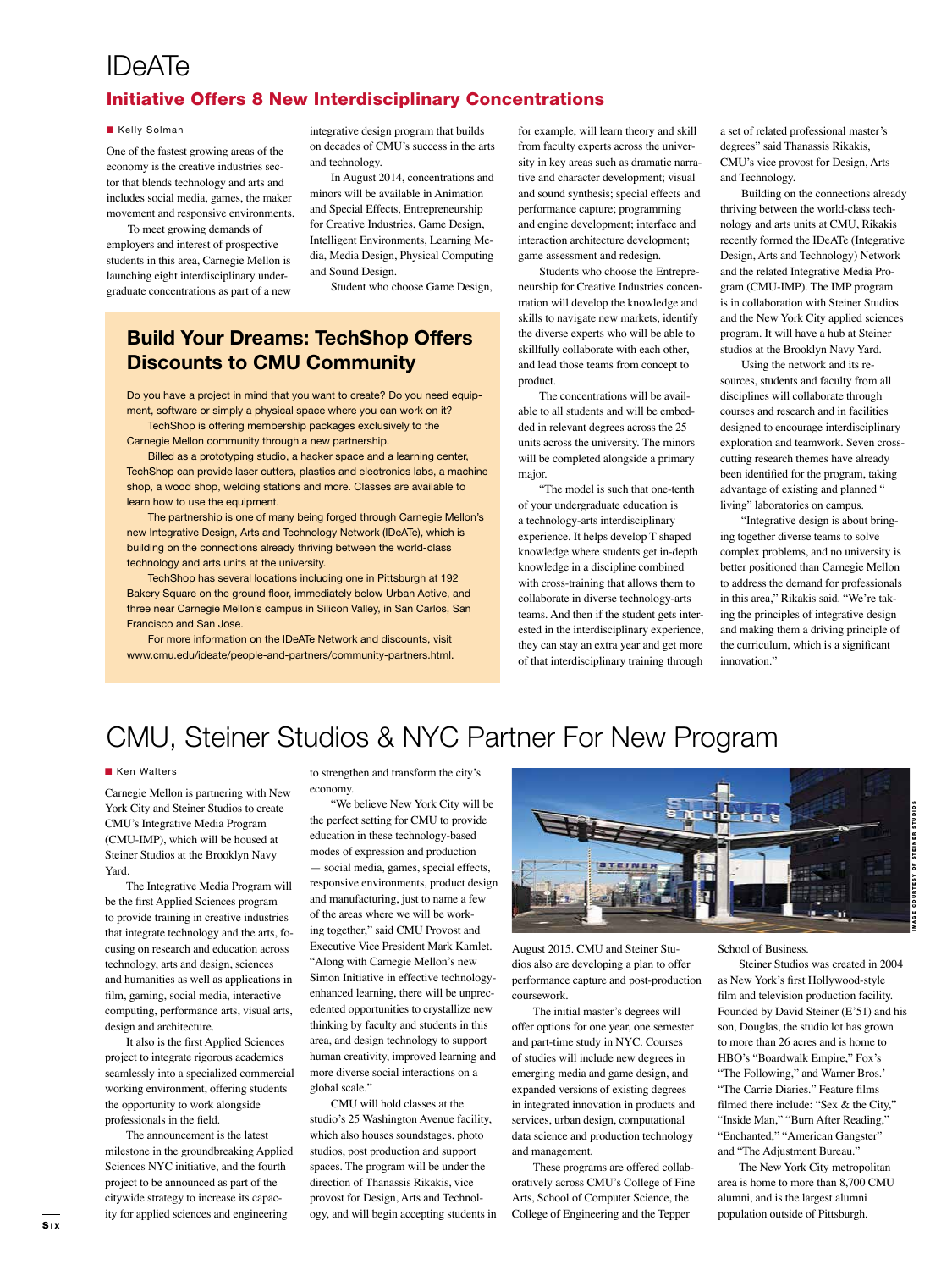## IDeATe

### Initiative Offers 8 New Interdisciplinary Concentrations

#### **Kelly Solman**

One of the fastest growing areas of the economy is the creative industries sector that blends technology and arts and includes social media, games, the maker movement and responsive environments.

To meet growing demands of employers and interest of prospective students in this area, Carnegie Mellon is launching eight interdisciplinary undergraduate concentrations as part of a new

integrative design program that builds on decades of CMU's success in the arts and technology.

In August 2014, concentrations and minors will be available in Animation and Special Effects, Entrepreneurship for Creative Industries, Game Design, Intelligent Environments, Learning Media, Media Design, Physical Computing and Sound Design.

Student who choose Game Design,

### **Build Your Dreams: TechShop Offers Discounts to CMU Community**

Do you have a project in mind that you want to create? Do you need equipment, software or simply a physical space where you can work on it?

TechShop is offering membership packages exclusively to the Carnegie Mellon community through a new partnership.

Billed as a prototyping studio, a hacker space and a learning center, TechShop can provide laser cutters, plastics and electronics labs, a machine shop, a wood shop, welding stations and more. Classes are available to learn how to use the equipment.

The partnership is one of many being forged through Carnegie Mellon's new Integrative Design, Arts and Technology Network (IDeATe), which is building on the connections already thriving between the world-class technology and arts units at the university.

TechShop has several locations including one in Pittsburgh at 192 Bakery Square on the ground floor, immediately below Urban Active, and three near Carnegie Mellon's campus in Silicon Valley, in San Carlos, San Francisco and San Jose.

For more information on the IDeATe Network and discounts, visit www.cmu.edu/ideate/people-and-partners/community-partners.html. for example, will learn theory and skill from faculty experts across the university in key areas such as dramatic narrative and character development; visual and sound synthesis; special effects and performance capture; programming and engine development; interface and interaction architecture development; game assessment and redesign.

Students who choose the Entrepreneurship for Creative Industries concentration will develop the knowledge and skills to navigate new markets, identify the diverse experts who will be able to skillfully collaborate with each other, and lead those teams from concept to product.

The concentrations will be available to all students and will be embedded in relevant degrees across the 25 units across the university. The minors will be completed alongside a primary major.

"The model is such that one-tenth of your undergraduate education is a technology-arts interdisciplinary experience. It helps develop T shaped knowledge where students get in-depth knowledge in a discipline combined with cross-training that allows them to collaborate in diverse technology-arts teams. And then if the student gets interested in the interdisciplinary experience, they can stay an extra year and get more of that interdisciplinary training through a set of related professional master's degrees" said Thanassis Rikakis, CMU's vice provost for Design, Arts and Technology.

Building on the connections already thriving between the world-class technology and arts units at CMU, Rikakis recently formed the IDeATe (Integrative Design, Arts and Technology) Network and the related Integrative Media Program (CMU-IMP). The IMP program is in collaboration with Steiner Studios and the New York City applied sciences program. It will have a hub at Steiner studios at the Brooklyn Navy Yard.

Using the network and its resources, students and faculty from all disciplines will collaborate through courses and research and in facilities designed to encourage interdisciplinary exploration and teamwork. Seven crosscutting research themes have already been identified for the program, taking advantage of existing and planned " living" laboratories on campus.

"Integrative design is about bringing together diverse teams to solve complex problems, and no university is better positioned than Carnegie Mellon to address the demand for professionals in this area," Rikakis said. "We're taking the principles of integrative design and making them a driving principle of the curriculum, which is a significant innovation."

# CMU, Steiner Studios & NYC Partner For New Program

### **Ken Walters**

Carnegie Mellon is partnering with New York City and Steiner Studios to create CMU's Integrative Media Program (CMU-IMP), which will be housed at Steiner Studios at the Brooklyn Navy Yard.

The Integrative Media Program will be the first Applied Sciences program to provide training in creative industries that integrate technology and the arts, focusing on research and education across technology, arts and design, sciences and humanities as well as applications in film, gaming, social media, interactive computing, performance arts, visual arts, design and architecture.

It also is the first Applied Sciences project to integrate rigorous academics seamlessly into a specialized commercial working environment, offering students the opportunity to work alongside professionals in the field.

The announcement is the latest milestone in the groundbreaking Applied Sciences NYC initiative, and the fourth project to be announced as part of the citywide strategy to increase its capacity for applied sciences and engineering

to strengthen and transform the city's economy.

"We believe New York City will be the perfect setting for CMU to provide education in these technology-based modes of expression and production — social media, games, special effects, responsive environments, product design and manufacturing, just to name a few of the areas where we will be working together," said CMU Provost and Executive Vice President Mark Kamlet. "Along with Carnegie Mellon's new Simon Initiative in effective technologyenhanced learning, there will be unprecedented opportunities to crystallize new thinking by faculty and students in this area, and design technology to support human creativity, improved learning and more diverse social interactions on a global scale."

CMU will hold classes at the studio's 25 Washington Avenue facility, which also houses soundstages, photo studios, post production and support spaces. The program will be under the direction of Thanassis Rikakis, vice provost for Design, Arts and Technology, and will begin accepting students in



August 2015. CMU and Steiner Studios also are developing a plan to offer performance capture and post-production coursework.

The initial master's degrees will offer options for one year, one semester and part-time study in NYC. Courses of studies will include new degrees in emerging media and game design, and expanded versions of existing degrees in integrated innovation in products and services, urban design, computational data science and production technology and management.

These programs are offered collaboratively across CMU's College of Fine Arts, School of Computer Science, the College of Engineering and the Tepper

### School of Business.

Steiner Studios was created in 2004 as New York's first Hollywood-style film and television production facility. Founded by David Steiner (E'51) and his son, Douglas, the studio lot has grown to more than 26 acres and is home to HBO's "Boardwalk Empire," Fox's "The Following," and Warner Bros.' "The Carrie Diaries." Feature films filmed there include: "Sex & the City," "Inside Man," "Burn After Reading," "Enchanted," "American Gangster" and "The Adjustment Bureau."

The New York City metropolitan area is home to more than 8,700 CMU alumni, and is the largest alumni population outside of Pittsburgh.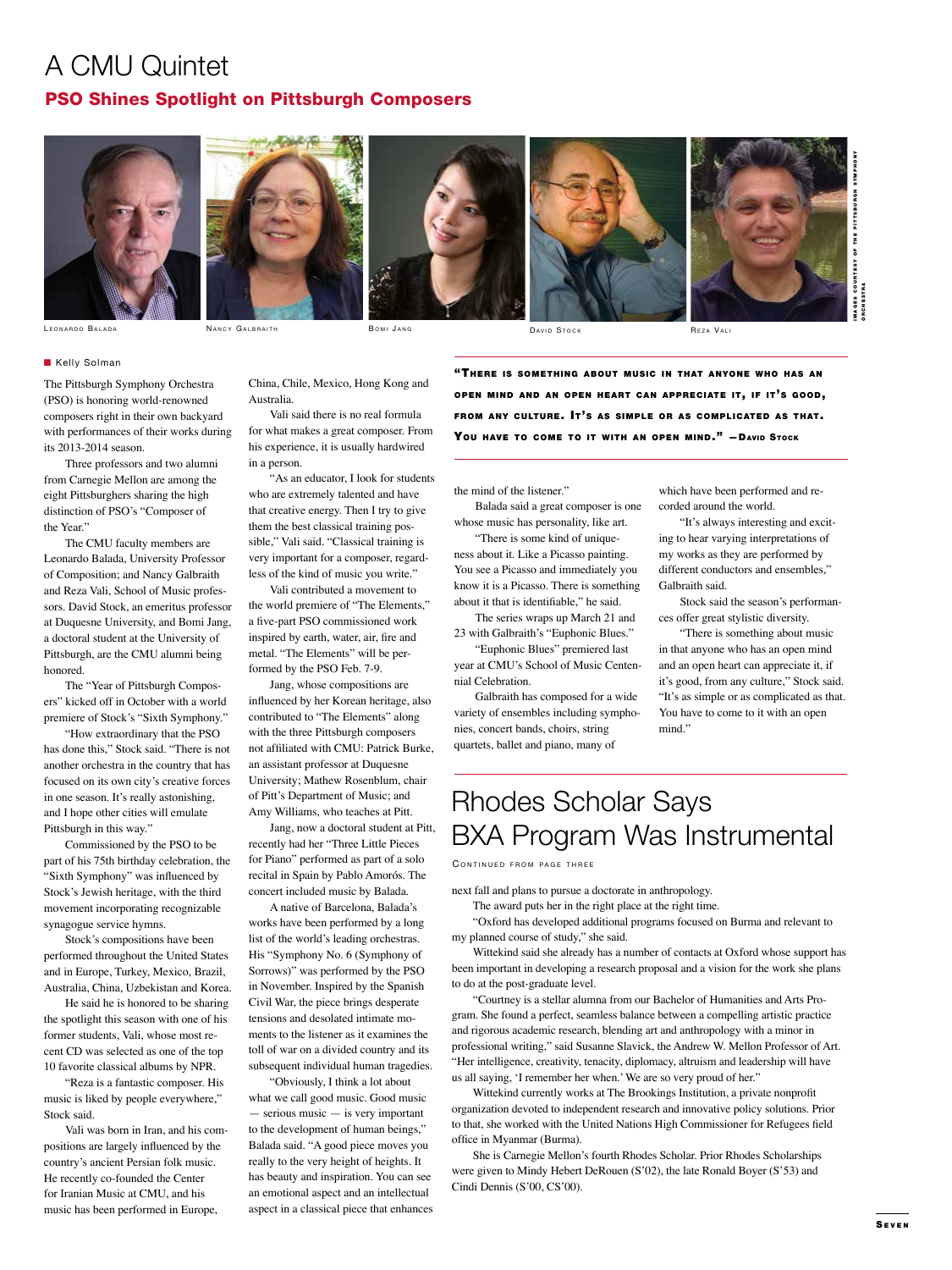## A CMU Quintet PSO Shines Spotlight on Pittsburgh Composers



**Kelly Solman** 

its 2013-2014 season.

the Year."

honored.

Pittsburgh in this way."

synagogue service hymns.

Stock said.

The Pittsburgh Symphony Orchestra (PSO) is honoring world-renowned composers right in their own backyard with performances of their works during

Three professors and two alumni from Carnegie Mellon are among the eight Pittsburghers sharing the high distinction of PSO's "Composer of

The CMU faculty members are Leonardo Balada, University Professor of Composition; and Nancy Galbraith and Reza Vali, School of Music professors. David Stock, an emeritus professor at Duquesne University, and Bomi Jang, a doctoral student at the University of Pittsburgh, are the CMU alumni being

The "Year of Pittsburgh Composers" kicked off in October with a world premiere of Stock's "Sixth Symphony." "How extraordinary that the PSO has done this," Stock said. "There is not another orchestra in the country that has focused on its own city's creative forces in one season. It's really astonishing, and I hope other cities will emulate

Commissioned by the PSO to be part of his 75th birthday celebration, the "Sixth Symphony" was influenced by Stock's Jewish heritage, with the third movement incorporating recognizable

Stock's compositions have been performed throughout the United States and in Europe, Turkey, Mexico, Brazil, Australia, China, Uzbekistan and Korea. He said he is honored to be sharing the spotlight this season with one of his former students, Vali, whose most recent CD was selected as one of the top 10 favorite classical albums by NPR. "Reza is a fantastic composer. His music is liked by people everywhere,"

Vali was born in Iran, and his compositions are largely influenced by the country's ancient Persian folk music. He recently co-founded the Center for Iranian Music at CMU, and his music has been performed in Europe,

L e o n a r d o Ba l a d a N a n <sup>c</sup> <sup>y</sup> G a l b r a i t h B o m i J a n g D a v i d St o <sup>c</sup> <sup>k</sup> Re <sup>z</sup> <sup>a</sup> V a l i

Australia.



I M A G E S C O U R T E S Y O F T H E P I T T S B U R G H S Y M P H O N Y ORCHESTRA

China, Chile, Mexico, Hong Kong and Vali said there is no real formula

for what makes a great composer. From his experience, it is usually hardwired in a person.

"As an educator, I look for students who are extremely talented and have that creative energy. Then I try to give them the best classical training possible," Vali said. "Classical training is very important for a composer, regardless of the kind of music you write."

Vali contributed a movement to the world premiere of "The Elements," a five-part PSO commissioned work inspired by earth, water, air, fire and metal. "The Elements" will be performed by the PSO Feb. 7-9.

Jang, whose compositions are influenced by her Korean heritage, also contributed to "The Elements" along with the three Pittsburgh composers not affiliated with CMU: Patrick Burke, an assistant professor at Duquesne University; Mathew Rosenblum, chair of Pitt's Department of Music; and Amy Williams, who teaches at Pitt.

Jang, now a doctoral student at Pitt, recently had her "Three Little Pieces for Piano" performed as part of a solo recital in Spain by Pablo Amorós. The concert included music by Balada.

A native of Barcelona, Balada's works have been performed by a long list of the world's leading orchestras. His "Symphony No. 6 (Symphony of Sorrows)" was performed by the PSO in November. Inspired by the Spanish Civil War, the piece brings desperate tensions and desolated intimate moments to the listener as it examines the toll of war on a divided country and its subsequent individual human tragedies.

"Obviously, I think a lot about what we call good music. Good music — serious music — is very important to the development of human beings," Balada said. "A good piece moves you really to the very height of heights. It has beauty and inspiration. You can see an emotional aspect and an intellectual aspect in a classical piece that enhances "THERE IS SOMETHING ABOUT MUSIC IN THAT ANYONE WHO HAS AN OPEN MIND AND AN OPEN HEART CAN APPRECIATE IT, IF IT'S GOOD, FROM ANY CULTURE. IT'S AS SIMPLE OR AS COMPLICATED AS THAT. YOU HAVE TO COME TO IT WITH AN OPEN MIND." - DAVID STOCK

the mind of the listener."

Balada said a great composer is one whose music has personality, like art.

"There is some kind of uniqueness about it. Like a Picasso painting. You see a Picasso and immediately you know it is a Picasso. There is something about it that is identifiable," he said.

The series wraps up March 21 and 23 with Galbraith's "Euphonic Blues."

"Euphonic Blues" premiered last year at CMU's School of Music Centennial Celebration.

Galbraith has composed for a wide variety of ensembles including symphonies, concert bands, choirs, string quartets, ballet and piano, many of

which have been performed and recorded around the world.

"It's always interesting and exciting to hear varying interpretations of my works as they are performed by different conductors and ensembles," Galbraith said.

Stock said the season's performances offer great stylistic diversity.

"There is something about music in that anyone who has an open mind and an open heart can appreciate it, if it's good, from any culture," Stock said. "It's as simple or as complicated as that. You have to come to it with an open mind."

# Rhodes Scholar Says BXA Program Was Instrumental

CONTINUED FROM PAGE THREE

next fall and plans to pursue a doctorate in anthropology.

The award puts her in the right place at the right time.

"Oxford has developed additional programs focused on Burma and relevant to my planned course of study," she said.

Wittekind said she already has a number of contacts at Oxford whose support has been important in developing a research proposal and a vision for the work she plans to do at the post-graduate level.

"Courtney is a stellar alumna from our Bachelor of Humanities and Arts Program. She found a perfect, seamless balance between a compelling artistic practice and rigorous academic research, blending art and anthropology with a minor in professional writing," said Susanne Slavick, the Andrew W. Mellon Professor of Art. "Her intelligence, creativity, tenacity, diplomacy, altruism and leadership will have us all saying, 'I remember her when.' We are so very proud of her."

Wittekind currently works at The Brookings Institution, a private nonprofit organization devoted to independent research and innovative policy solutions. Prior to that, she worked with the United Nations High Commissioner for Refugees field office in Myanmar (Burma).

She is Carnegie Mellon's fourth Rhodes Scholar. Prior Rhodes Scholarships were given to Mindy Hebert DeRouen (S'02), the late Ronald Boyer (S'53) and Cindi Dennis (S'00, CS'00).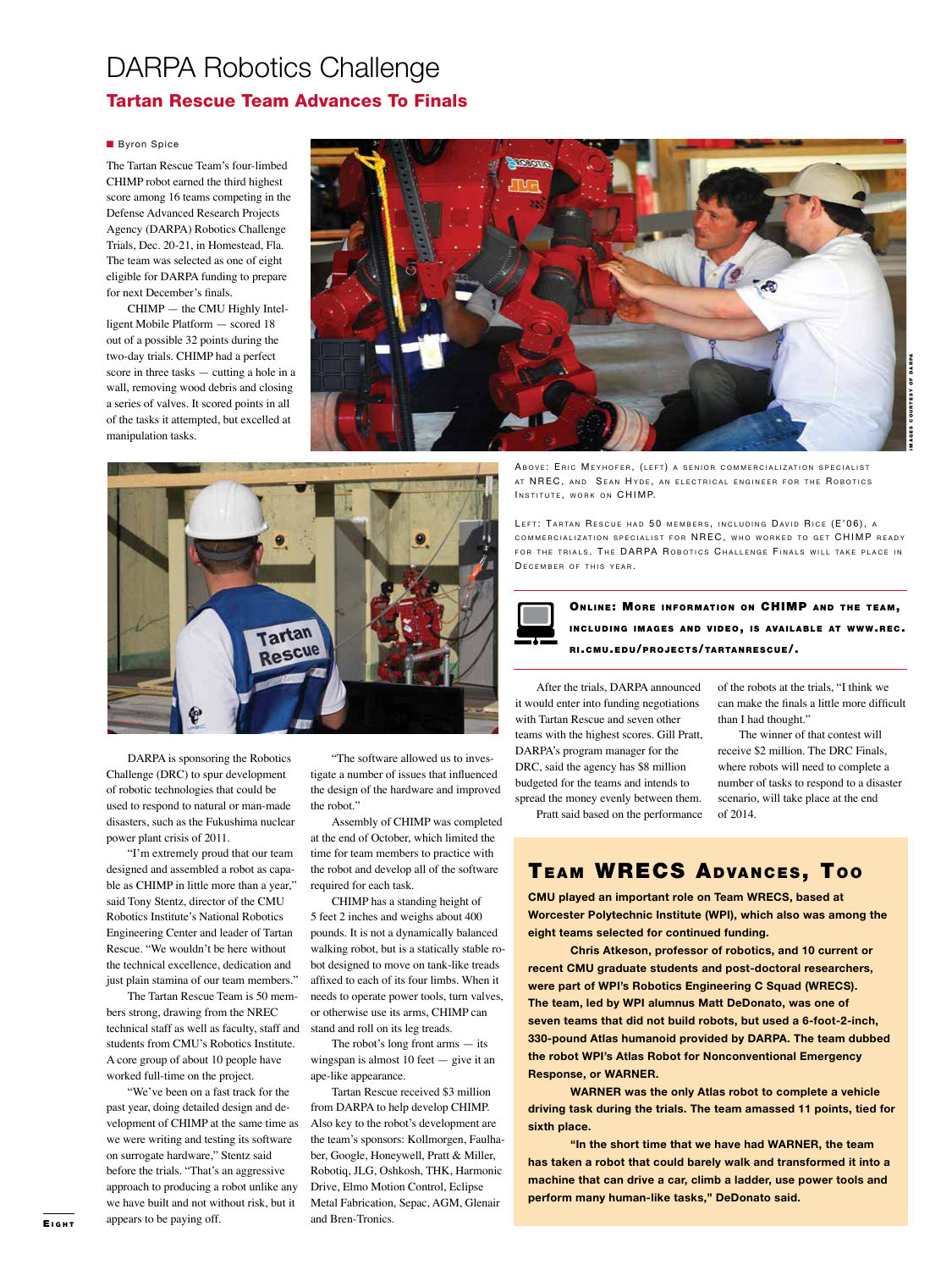### DARPA Robotics Challenge Tartan Rescue Team Advances To Finals

#### **Byron Spice**

The Tartan Rescue Team's four-limbed CHIMP robot earned the third highest score among 16 teams competing in the Defense Advanced Research Projects Agency (DARPA) Robotics Challenge Trials, Dec. 20-21, in Homestead, Fla. The team was selected as one of eight eligible for DARPA funding to prepare for next December's finals.

CHIMP — the CMU Highly Intelligent Mobile Platform — scored 18 out of a possible 32 points during the two-day trials. CHIMP had a perfect score in three tasks — cutting a hole in a wall, removing wood debris and closing a series of valves. It scored points in all of the tasks it attempted, but excelled at manipulation tasks.





DARPA is sponsoring the Robotics Challenge (DRC) to spur development of robotic technologies that could be used to respond to natural or man-made disasters, such as the Fukushima nuclear power plant crisis of 2011.

"I'm extremely proud that our team designed and assembled a robot as capable as CHIMP in little more than a year," said Tony Stentz, director of the CMU Robotics Institute's National Robotics Engineering Center and leader of Tartan Rescue. "We wouldn't be here without the technical excellence, dedication and just plain stamina of our team members."

The Tartan Rescue Team is 50 members strong, drawing from the NREC technical staff as well as faculty, staff and students from CMU's Robotics Institute. A core group of about 10 people have worked full-time on the project.

"We've been on a fast track for the past year, doing detailed design and development of CHIMP at the same time as we were writing and testing its software on surrogate hardware," Stentz said before the trials. "That's an aggressive approach to producing a robot unlike any we have built and not without risk, but it appears to be paying off.

"The software allowed us to investigate a number of issues that influenced the design of the hardware and improved the robot."

Assembly of CHIMP was completed at the end of October, which limited the time for team members to practice with the robot and develop all of the software required for each task.

CHIMP has a standing height of 5 feet 2 inches and weighs about 400 pounds. It is not a dynamically balanced walking robot, but is a statically stable robot designed to move on tank-like treads affixed to each of its four limbs. When it needs to operate power tools, turn valves, or otherwise use its arms, CHIMP can stand and roll on its leg treads.

The robot's long front arms — its wingspan is almost 10 feet — give it an ape-like appearance.

Tartan Rescue received \$3 million from DARPA to help develop CHIMP. Also key to the robot's development are the team's sponsors: Kollmorgen, Faulhaber, Google, Honeywell, Pratt & Miller, Robotiq, JLG, Oshkosh, THK, Harmonic Drive, Elmo Motion Control, Eclipse Metal Fabrication, Sepac, AGM, Glenair and Bren-Tronics.

ABOVE: ERIC MEYHOFER, (LEFT) A SENIOR COMMERCIALIZATION SPECIALIST AT NREC, AND SEAN HYDE, AN ELECTRICAL ENGINEER FOR THE ROBOTICS INSTITUTE, WORK ON CHIMP.

LEFT: TARTAN RESCUE HAD 50 MEMBERS, INCLUDING DAVID RICE (E'06), A COMMERCIALIZATION SPECIALIST FOR NREC, WHO WORKED TO GET CHIMP READY FOR THE TRIALS. THE DARPA ROBOTICS CHALLENGE FINALS WILL TAKE PLACE IN DECEMBER OF THIS YEAR.

ONLINE: MORE INFORMATION ON CHIMP AND THE TEAM, INCLUDING IMAGES AND VIDEO, IS AVAILABLE AT WWW.REC. RI.CMU. EDU/ PROJECTS/TARTAN RESCUE/.

After the trials, DARPA announced it would enter into funding negotiations with Tartan Rescue and seven other teams with the highest scores. Gill Pratt, DARPA's program manager for the DRC, said the agency has \$8 million budgeted for the teams and intends to spread the money evenly between them.

Pratt said based on the performance

of the robots at the trials, "I think we can make the finals a little more difficult than I had thought."

The winner of that contest will receive \$2 million. The DRC Finals, where robots will need to complete a number of tasks to respond to a disaster scenario, will take place at the end of 2014.

TEAM WRECS ADVANCES, TOO

**CMU played an important role on Team WRECS, based at Worcester Polytechnic Institute (WPI), which also was among the eight teams selected for continued funding.**

**Chris Atkeson, professor of robotics, and 10 current or recent CMU graduate students and post-doctoral researchers, were part of WPI's Robotics Engineering C Squad (WRECS). The team, led by WPI alumnus Matt DeDonato, was one of seven teams that did not build robots, but used a 6-foot-2-inch, 330-pound Atlas humanoid provided by DARPA. The team dubbed the robot WPI's Atlas Robot for Nonconventional Emergency Response, or WARNER.**

**WARNER was the only Atlas robot to complete a vehicle driving task during the trials. The team amassed 11 points, tied for sixth place.**

**"In the short time that we have had WARNER, the team has taken a robot that could barely walk and transformed it into a machine that can drive a car, climb a ladder, use power tools and perform many human-like tasks," DeDonato said.**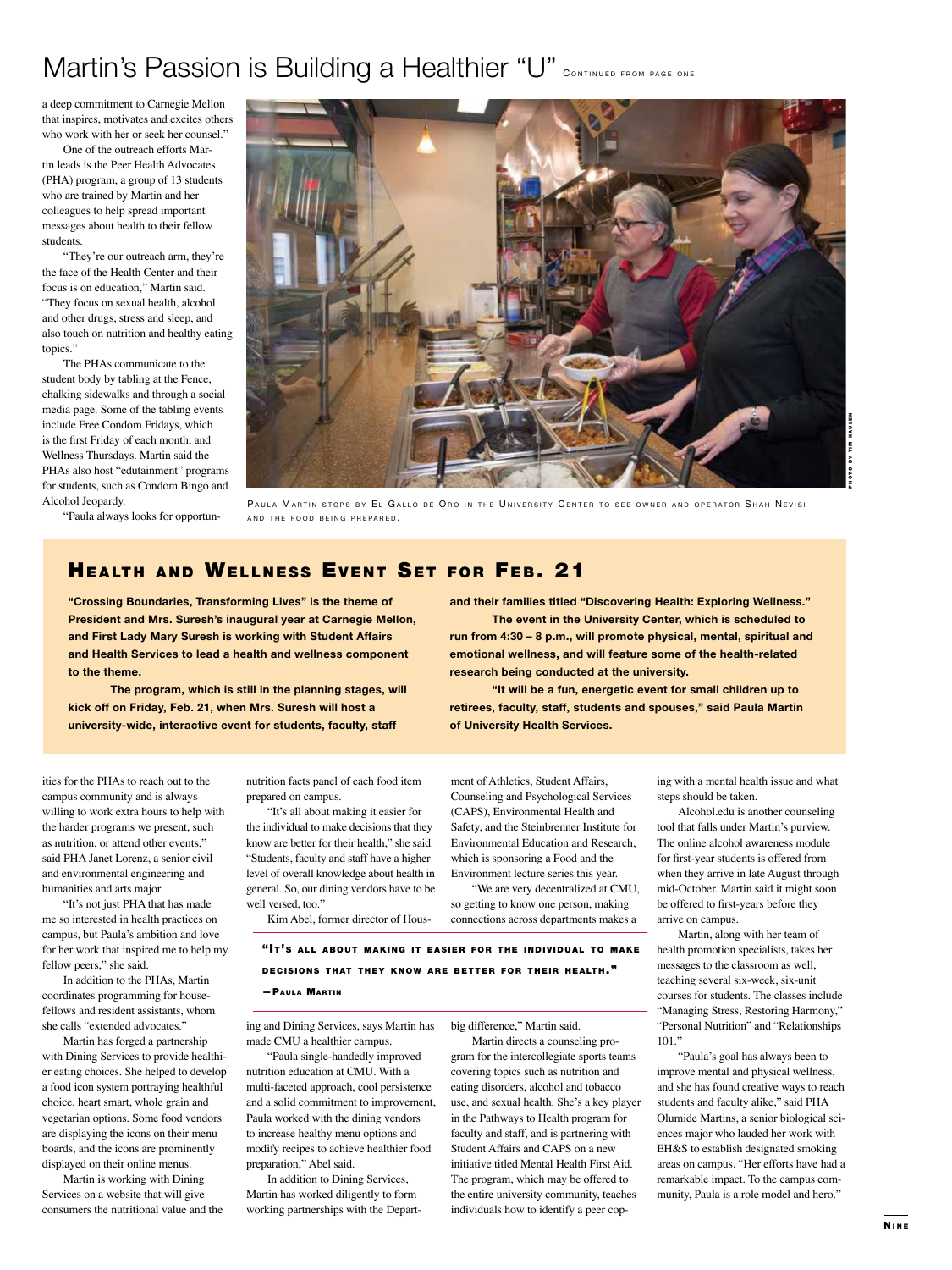# Martin's Passion is Building a Healthier "U" CONTINUED FROM PAGE ONE

a deep commitment to Carnegie Mellon that inspires, motivates and excites others who work with her or seek her counsel."

One of the outreach efforts Martin leads is the Peer Health Advocates (PHA) program, a group of 13 students who are trained by Martin and her colleagues to help spread important messages about health to their fellow students.

"They're our outreach arm, they're the face of the Health Center and their focus is on education," Martin said. "They focus on sexual health, alcohol and other drugs, stress and sleep, and also touch on nutrition and healthy eating topics."

The PHAs communicate to the student body by tabling at the Fence, chalking sidewalks and through a social media page. Some of the tabling events include Free Condom Fridays, which is the first Friday of each month, and Wellness Thursdays. Martin said the PHAs also host "edutainment" programs for students, such as Condom Bingo and Alcohol Jeopardy.

"Paula always looks for opportun-



PAULA MARTIN STOPS BY EL GALLO DE ORO IN THE UNIVERSITY CENTER TO SEE OWNER AND OPERATOR SHAH NEVISI AND THE FOOD BEING PREPARED.

**and their families titled "Discovering Health: Exploring Wellness."** 

**run from 4:30 – 8 p.m., will promote physical, mental, spiritual and emotional wellness, and will feature some of the health-related** 

**retirees, faculty, staff, students and spouses," said Paula Martin** 

**The event in the University Center, which is scheduled to** 

**"It will be a fun, energetic event for small children up to** 

### HEALTH AND WELLNESS EVENT SET FOR FEB. 21

**"Crossing Boundaries, Transforming Lives" is the theme of President and Mrs. Suresh's inaugural year at Carnegie Mellon, and First Lady Mary Suresh is working with Student Affairs and Health Services to lead a health and wellness component to the theme.** 

**The program, which is still in the planning stages, will kick off on Friday, Feb. 21, when Mrs. Suresh will host a university-wide, interactive event for students, faculty, staff** 

ities for the PHAs to reach out to the campus community and is always willing to work extra hours to help with the harder programs we present, such as nutrition, or attend other events," said PHA Janet Lorenz, a senior civil and environmental engineering and humanities and arts major.

"It's not just PHA that has made me so interested in health practices on campus, but Paula's ambition and love for her work that inspired me to help my fellow peers," she said.

In addition to the PHAs, Martin coordinates programming for housefellows and resident assistants, whom she calls "extended advocates."

Martin has forged a partnership with Dining Services to provide healthier eating choices. She helped to develop a food icon system portraying healthful choice, heart smart, whole grain and vegetarian options. Some food vendors are displaying the icons on their menu boards, and the icons are prominently displayed on their online menus.

Martin is working with Dining Services on a website that will give consumers the nutritional value and the nutrition facts panel of each food item prepared on campus.

"It's all about making it easier for the individual to make decisions that they know are better for their health," she said. "Students, faculty and staff have a higher level of overall knowledge about health in general. So, our dining vendors have to be well versed, too."

Kim Abel, former director of Hous-

ment of Athletics, Student Affairs, Counseling and Psychological Services (CAPS), Environmental Health and Safety, and the Steinbrenner Institute for Environmental Education and Research, which is sponsoring a Food and the Environment lecture series this year.

**of University Health Services.**

**research being conducted at the university.** 

"We are very decentralized at CMU, so getting to know one person, making connections across departments makes a

"It's all about making it easier for the individual to make DECISIONS THAT THEY KNOW ARE BETTER FOR THEIR HEALTH." - PAULA MARTIN

ing and Dining Services, says Martin has made CMU a healthier campus.

"Paula single-handedly improv nutrition education at CMU. With a multi-faceted approach, cool persistence and a solid commitment to improvement, Paula worked with the dining vendors to increase healthy menu options and modify recipes to achieve healthier food preparation," Abel said.

In addition to Dining Services, Martin has worked diligently to form working partnerships with the Depart-

big difference," Martin said. Martin directs a counseling pro-

gram for the intercollegiate sports tear covering topics such as nutrition and eating disorders, alcohol and tobacco use, and sexual health. She's a key player in the Pathways to Health program for faculty and staff, and is partnering with Student Affairs and CAPS on a new initiative titled Mental Health First Aid. The program, which may be offered to the entire university community, teaches individuals how to identify a peer coping with a mental health issue and what steps should be taken.

Alcohol.edu is another counseling tool that falls under Martin's purview. The online alcohol awareness module for first-year students is offered from when they arrive in late August through mid-October. Martin said it might soon be offered to first-years before they arrive on campus.

Martin, along with her team of health promotion specialists, takes her messages to the classroom as well, teaching several six-week, six-unit courses for students. The classes include "Managing Stress, Restoring Harmony," "Personal Nutrition" and "Relationships 101."

'Paula's goal has always been to improve mental and physical wellness, and she has found creative ways to reach students and faculty alike," said PHA Olumide Martins, a senior biological sciences major who lauded her work with EH&S to establish designated smoking areas on campus. "Her efforts have had a remarkable impact. To the campus community, Paula is a role model and hero."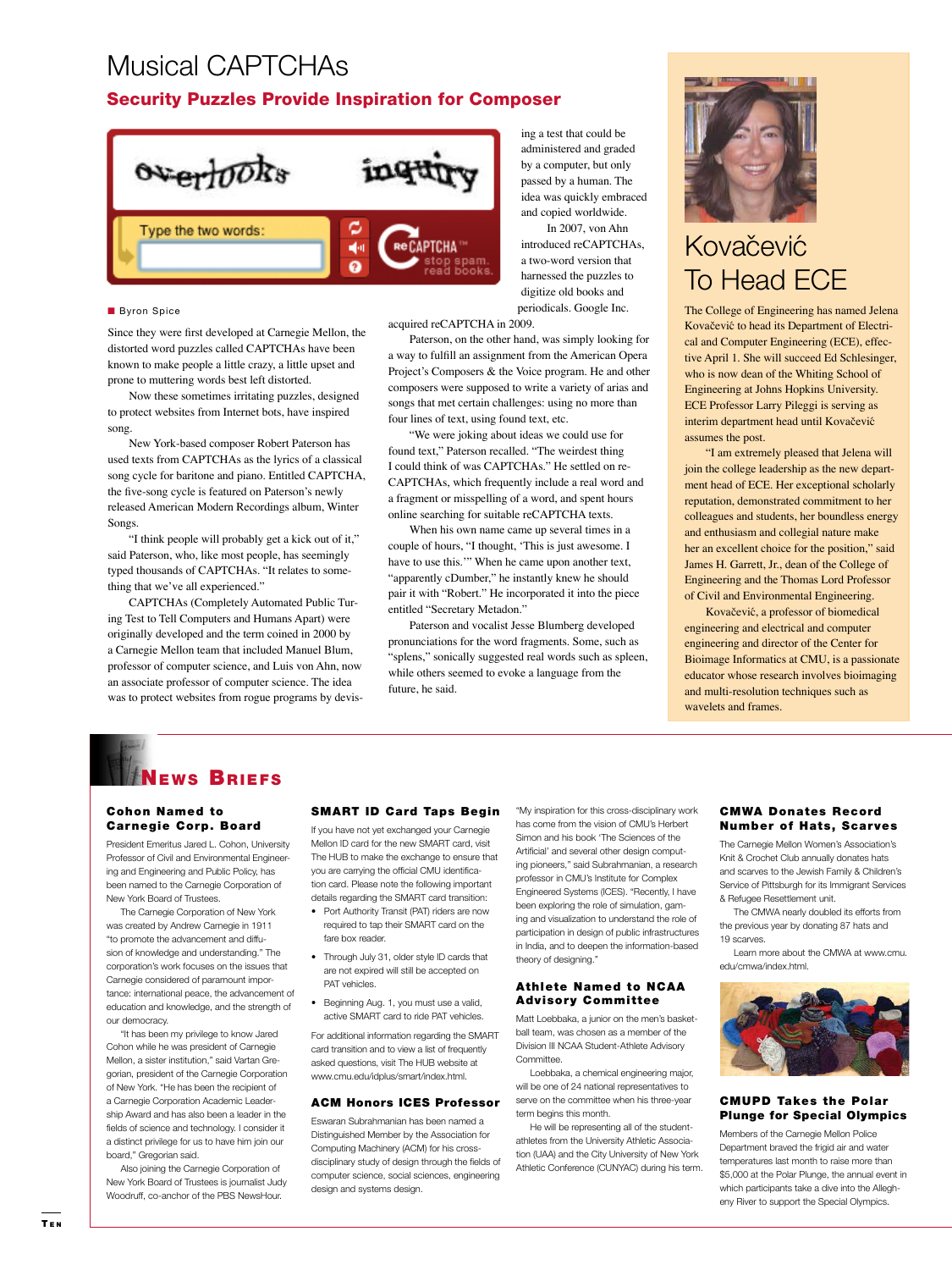# Musical CAPTCHAs

### Security Puzzles Provide Inspiration for Composer



#### **Byron Spice**

Since they were first developed at Carnegie Mellon, the distorted word puzzles called CAPTCHAs have been known to make people a little crazy, a little upset and prone to muttering words best left distorted.

Now these sometimes irritating puzzles, designed to protect websites from Internet bots, have inspired song.

New York-based composer Robert Paterson has used texts from CAPTCHAs as the lyrics of a classical song cycle for baritone and piano. Entitled CAPTCHA, the five-song cycle is featured on Paterson's newly released American Modern Recordings album, Winter Songs.

"I think people will probably get a kick out of it," said Paterson, who, like most people, has seemingly typed thousands of CAPTCHAs. "It relates to something that we've all experienced."

CAPTCHAs (Completely Automated Public Turing Test to Tell Computers and Humans Apart) were originally developed and the term coined in 2000 by a Carnegie Mellon team that included Manuel Blum, professor of computer science, and Luis von Ahn, now an associate professor of computer science. The idea was to protect websites from rogue programs by devising a test that could be administered and graded by a computer, but only passed by a human. The idea was quickly embraced and copied worldwide.

 In 2007, von Ahn introduced reCAPTCHAs, a two-word version that harnessed the puzzles to digitize old books and periodicals. Google Inc.

acquired reCAPTCHA in 2009.

Paterson, on the other hand, was simply looking for a way to fulfill an assignment from the American Opera Project's Composers & the Voice program. He and other composers were supposed to write a variety of arias and songs that met certain challenges: using no more than four lines of text, using found text, etc.

"We were joking about ideas we could use for found text," Paterson recalled. "The weirdest thing I could think of was CAPTCHAs." He settled on re-CAPTCHAs, which frequently include a real word and a fragment or misspelling of a word, and spent hours online searching for suitable reCAPTCHA texts.

When his own name came up several times in a couple of hours, "I thought, 'This is just awesome. I have to use this.'" When he came upon another text, "apparently cDumber," he instantly knew he should pair it with "Robert." He incorporated it into the piece entitled "Secretary Metadon."

Paterson and vocalist Jesse Blumberg developed pronunciations for the word fragments. Some, such as "splens," sonically suggested real words such as spleen, while others seemed to evoke a language from the future, he said.



# Kovačević To Head ECE

The College of Engineering has named Jelena Kovačević to head its Department of Electrical and Computer Engineering (ECE), effective April 1. She will succeed Ed Schlesinger, who is now dean of the Whiting School of Engineering at Johns Hopkins University. ECE Professor Larry Pileggi is serving as interim department head until Kovačević assumes the post.

"I am extremely pleased that Jelena will join the college leadership as the new department head of ECE. Her exceptional scholarly reputation, demonstrated commitment to her colleagues and students, her boundless energy and enthusiasm and collegial nature make her an excellent choice for the position," said James H. Garrett, Jr., dean of the College of Engineering and the Thomas Lord Professor of Civil and Environmental Engineering.

Kovačević, a professor of biomedical engineering and electrical and computer engineering and director of the Center for Bioimage Informatics at CMU, is a passionate educator whose research involves bioimaging and multi-resolution techniques such as wavelets and frames.

### News Briefs

### Cohon Named to Carnegie Corp. Board

President Emeritus Jared L. Cohon, University Professor of Civil and Environmental Engineering and Engineering and Public Policy, has been named to the Carnegie Corporation of New York Board of Trustees.

The Carnegie Corporation of New York was created by Andrew Carnegie in 1911 "to promote the advancement and diffusion of knowledge and understanding." The corporation's work focuses on the issues that Carnegie considered of paramount importance: international peace, the advancement of education and knowledge, and the strength of our democracy.

"It has been my privilege to know Jared Cohon while he was president of Carnegie Mellon, a sister institution," said Vartan Gregorian, president of the Carnegie Corporation of New York. "He has been the recipient of a Carnegie Corporation Academic Leadership Award and has also been a leader in the fields of science and technology. I consider it a distinct privilege for us to have him join our board," Gregorian said.

Also joining the Carnegie Corporation of New York Board of Trustees is journalist Judy Woodruff, co-anchor of the PBS NewsHour.

### **SMART ID Card Taps Begin**

If you have not yet exchanged your Carnegie Mellon ID card for the new SMART card, visit The HUB to make the exchange to ensure that you are carrying the official CMU identification card. Please note the following important details regarding the SMART card transition:

- Port Authority Transit (PAT) riders are now required to tap their SMART card on the fare box reader.
- Through July 31, older style ID cards that are not expired will still be accepted on PAT vehicles.
- Beginning Aug. 1, you must use a valid, active SMART card to ride PAT vehicles.

For additional information regarding the SMART card transition and to view a list of frequently asked questions, visit The HUB website at www.cmu.edu/idplus/smart/index.html.

### ACM Honors ICES Professor

Eswaran Subrahmanian has been named a Distinguished Member by the Association for Computing Machinery (ACM) for his crossdisciplinary study of design through the fields of computer science, social sciences, engineering design and systems design.

"My inspiration for this cross-disciplinary work has come from the vision of CMU's Herbert Simon and his book 'The Sciences of the Artificial' and several other design computing pioneers," said Subrahmanian, a research professor in CMU's Institute for Complex Engineered Systems (ICES). "Recently, I have been exploring the role of simulation, gaming and visualization to understand the role of participation in design of public infrastructures in India, and to deepen the information-based theory of designing."

### **Athlete Named to NCAA** Advisory Committee

Matt Loebbaka, a junior on the men's basketball team, was chosen as a member of the Division III NCAA Student-Athlete Advisory Committee.

Loebbaka, a chemical engineering major, will be one of 24 national representatives to serve on the committee when his three-year term begins this month.

He will be representing all of the studentathletes from the University Athletic Association (UAA) and the City University of New York Athletic Conference (CUNYAC) during his term.

### CMWA Donates Record Number of Hats, Scarves

The Carnegie Mellon Women's Association's Knit & Crochet Club annually donates hats and scarves to the Jewish Family & Children's Service of Pittsburgh for its Immigrant Services & Refugee Resettlement unit.

The CMWA nearly doubled its efforts from the previous year by donating 87 hats and 19 scarves.

Learn more about the CMWA at www.cmu. edu/cmwa/index.html.



### **CMUPD Takes the Polar** Plunge for Special Olympics

Members of the Carnegie Mellon Police Department braved the frigid air and water temperatures last month to raise more than \$5,000 at the Polar Plunge, the annual event in which participants take a dive into the Allegheny River to support the Special Olympics.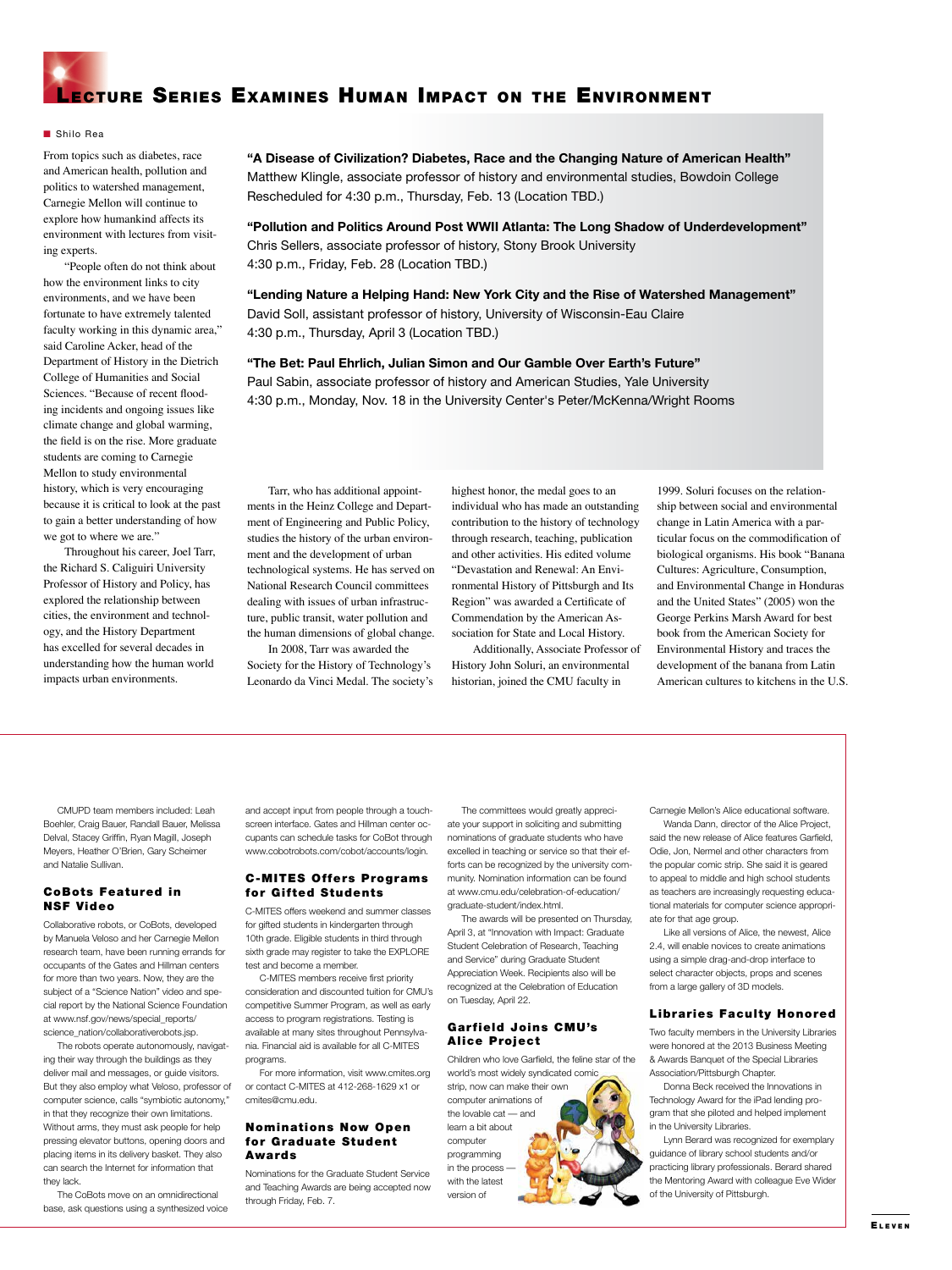

#### ■ Shilo Rea

From topics such as diabetes, race and American health, pollution and politics to watershed management, Carnegie Mellon will continue to explore how humankind affects its environment with lectures from visiting experts.

"People often do not think about how the environment links to city environments, and we have been fortunate to have extremely talented faculty working in this dynamic area," said Caroline Acker, head of the Department of History in the Dietrich College of Humanities and Social Sciences. "Because of recent flooding incidents and ongoing issues like climate change and global warming, the field is on the rise. More graduate students are coming to Carnegie Mellon to study environmental history, which is very encouraging because it is critical to look at the past to gain a better understanding of how we got to where we are."

Throughout his career, Joel Tarr, the Richard S. Caliguiri University Professor of History and Policy, has explored the relationship between cities, the environment and technology, and the History Department has excelled for several decades in understanding how the human world impacts urban environments.

**"A Disease of Civilization? Diabetes, Race and the Changing Nature of American Health"** Matthew Klingle, associate professor of history and environmental studies, Bowdoin College Rescheduled for 4:30 p.m., Thursday, Feb. 13 (Location TBD.)

**"Pollution and Politics Around Post WWII Atlanta: The Long Shadow of Underdevelopment"** Chris Sellers, associate professor of history, Stony Brook University 4:30 p.m., Friday, Feb. 28 (Location TBD.)

**"Lending Nature a Helping Hand: New York City and the Rise of Watershed Management"** David Soll, assistant professor of history, University of Wisconsin-Eau Claire 4:30 p.m., Thursday, April 3 (Location TBD.)

**"The Bet: Paul Ehrlich, Julian Simon and Our Gamble Over Earth's Future"** Paul Sabin, associate professor of history and American Studies, Yale University 4:30 p.m., Monday, Nov. 18 in the University Center's Peter/McKenna/Wright Rooms

Tarr, who has additional appointments in the Heinz College and Department of Engineering and Public Policy, studies the history of the urban environment and the development of urban technological systems. He has served on National Research Council committees dealing with issues of urban infrastructure, public transit, water pollution and the human dimensions of global change.

In 2008, Tarr was awarded the Society for the History of Technology's Leonardo da Vinci Medal. The society's highest honor, the medal goes to an individual who has made an outstanding contribution to the history of technology through research, teaching, publication and other activities. His edited volume "Devastation and Renewal: An Environmental History of Pittsburgh and Its Region" was awarded a Certificate of Commendation by the American Association for State and Local History.

Additionally, Associate Professor of History John Soluri, an environmental historian, joined the CMU faculty in

1999. Soluri focuses on the relationship between social and environmental change in Latin America with a particular focus on the commodification of biological organisms. His book "Banana Cultures: Agriculture, Consumption, and Environmental Change in Honduras and the United States" (2005) won the George Perkins Marsh Award for best book from the American Society for Environmental History and traces the development of the banana from Latin American cultures to kitchens in the U.S.

CMUPD team members included: Leah Boehler, Craig Bauer, Randall Bauer, Melissa Delval, Stacey Griffin, Ryan Magill, Joseph Meyers, Heather O'Brien, Gary Scheimer and Natalie Sullivan.

### CoBots Featured in NSF Video

Collaborative robots, or CoBots, developed by Manuela Veloso and her Carnegie Mellon research team, have been running errands for occupants of the Gates and Hillman centers for more than two years. Now, they are the subject of a "Science Nation" video and special report by the National Science Foundation at www.nsf.gov/news/special\_reports/ science\_nation/collaborativerobots.jsp.

The robots operate autonomously, navigating their way through the buildings as they deliver mail and messages, or guide visitors. But they also employ what Veloso, professor of computer science, calls "symbiotic autonomy," in that they recognize their own limitations. Without arms, they must ask people for help pressing elevator buttons, opening doors and placing items in its delivery basket. They also can search the Internet for information that they lack.

The CoBots move on an omnidirectional base, ask questions using a synthesized voice and accept input from people through a touchscreen interface. Gates and Hillman center occupants can schedule tasks for CoBot through www.cobotrobots.com/cobot/accounts/login.

### **C-MITES Offers Programs** for Gifted Students

C-MITES offers weekend and summer classes for gifted students in kindergarten through 10th grade. Eligible students in third through sixth grade may register to take the EXPLORE test and become a member.

C-MITES members receive first priority consideration and discounted tuition for CMU's competitive Summer Program, as well as early access to program registrations. Testing is available at many sites throughout Pennsylvania. Financial aid is available for all C-MITES programs.

For more information, visit www.cmites.org or contact C-MITES at 412-268-1629 x1 or cmites@cmu.edu.

### **Nominations Now Open** for Graduate Student Awards

Nominations for the Graduate Student Service and Teaching Awards are being accepted now through Friday, Feb. 7.

The committees would greatly appreciate your support in soliciting and submitting nominations of graduate students who have excelled in teaching or service so that their efforts can be recognized by the university community. Nomination information can be found at www.cmu.edu/celebration-of-education/ graduate-student/index.html.

The awards will be presented on Thursday, April 3, at "Innovation with Impact: Graduate Student Celebration of Research, Teaching and Service" during Graduate Student Appreciation Week. Recipients also will be recognized at the Celebration of Education on Tuesday, April 22.

### Garfield Joins CMU's Alice Project

Children who love Garfield, the feline star of the

world's most widely syndicated comic strip, now can make their own computer animations of the lovable cat — and learn a bit about computer programming in the process with the latest version of

Carnegie Mellon's Alice educational software.

Wanda Dann, director of the Alice Project, said the new release of Alice features Garfield, Odie, Jon, Nermel and other characters from the popular comic strip. She said it is geared to appeal to middle and high school students as teachers are increasingly requesting educational materials for computer science appropriate for that age group.

Like all versions of Alice, the newest, Alice 2.4, will enable novices to create animations using a simple drag-and-drop interface to select character objects, props and scenes from a large gallery of 3D models.

### Libraries Faculty Honored

Two faculty members in the University Libraries were honored at the 2013 Business Meeting & Awards Banquet of the Special Libraries Association/Pittsburgh Chapter.

Donna Beck received the Innovations in Technology Award for the iPad lending program that she piloted and helped implement in the University Libraries.

Lynn Berard was recognized for exemplary guidance of library school students and/or practicing library professionals. Berard shared the Mentoring Award with colleague Eve Wider of the University of Pittsburgh.